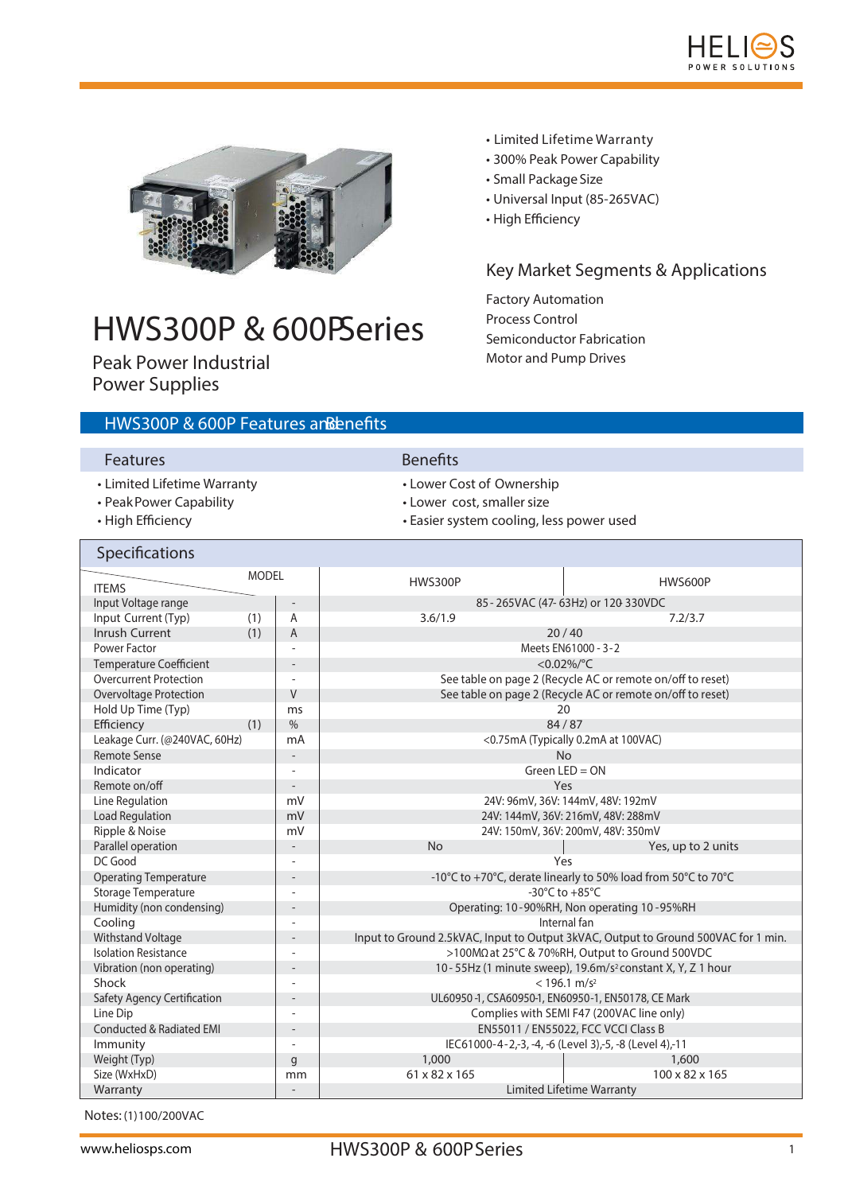



# HWS300P & 600PSeries

Peak Power Industrial Power Supplies

# HWS300P & 600P Features anBenefits

### Features **Benefits**

- Limited Lifetime Warranty Lower Cost of Ownership
- Peak Power Capability  **Lower cost, smaller size**
- 
- 
- 
- 
- High Efficiency extended the system cooling, less power used

• Limited Lifetime Warranty • 300% Peak Power Capability

• Universal Input (85-265VAC)

**Key Market Segments & Applications**

• Small Package Size

Factory Automation Process Control

Semiconductor Fabrication Motor and Pump Drives

• High Efficiency

| Specifications                            |              |                                                               |                                                                                    |                    |  |
|-------------------------------------------|--------------|---------------------------------------------------------------|------------------------------------------------------------------------------------|--------------------|--|
| <b>ITEMS</b>                              | <b>MODEL</b> |                                                               | <b>HWS300P</b>                                                                     | HWS600P            |  |
| Input Voltage range                       |              |                                                               | 85 - 265VAC (47-63Hz) or 120 330VDC                                                |                    |  |
| Input Current (Typ)                       | (1)          | A                                                             | 3.6/1.9                                                                            | 7.2/3.7            |  |
| Inrush Current                            | (1)          | A                                                             |                                                                                    | 20/40              |  |
| Power Factor                              |              |                                                               | Meets EN61000 - 3-2                                                                |                    |  |
| <b>Temperature Coefficient</b>            |              |                                                               | < $0.02\%$ /°C                                                                     |                    |  |
| <b>Overcurrent Protection</b>             |              |                                                               | See table on page 2 (Recycle AC or remote on/off to reset)                         |                    |  |
| Overvoltage Protection                    |              | V                                                             | See table on page 2 (Recycle AC or remote on/off to reset)                         |                    |  |
| Hold Up Time (Typ)                        |              | ms                                                            | 20                                                                                 |                    |  |
| (1)<br>Efficiency<br>$\frac{0}{0}$        |              |                                                               | 84/87                                                                              |                    |  |
| Leakage Curr. (@240VAC, 60Hz)             |              | mA                                                            | <0.75mA (Typically 0.2mA at 100VAC)                                                |                    |  |
| <b>Remote Sense</b>                       |              |                                                               | <b>No</b>                                                                          |                    |  |
| Indicator                                 |              | $\overline{\phantom{a}}$                                      | Green $LED = ON$                                                                   |                    |  |
| Remote on/off<br>$\overline{\phantom{0}}$ |              |                                                               | Yes                                                                                |                    |  |
| Line Regulation<br>mV                     |              |                                                               | 24V: 96mV, 36V: 144mV, 48V: 192mV                                                  |                    |  |
| <b>Load Regulation</b><br>mV              |              |                                                               | 24V: 144mV, 36V: 216mV, 48V: 288mV                                                 |                    |  |
| Ripple & Noise                            | mV           |                                                               | 24V: 150mV, 36V: 200mV, 48V: 350mV                                                 |                    |  |
| Parallel operation                        |              |                                                               | <b>No</b>                                                                          | Yes, up to 2 units |  |
| DC Good                                   |              |                                                               | Yes                                                                                |                    |  |
| <b>Operating Temperature</b>              |              | -10°C to +70°C, derate linearly to 50% load from 50°C to 70°C |                                                                                    |                    |  |
| Storage Temperature                       |              |                                                               | -30 $^{\circ}$ C to +85 $^{\circ}$ C                                               |                    |  |
| Humidity (non condensing)                 |              | $\qquad \qquad -$                                             | Operating: 10-90%RH, Non operating 10-95%RH                                        |                    |  |
| Cooling                                   |              |                                                               | Internal fan                                                                       |                    |  |
| Withstand Voltage                         |              |                                                               | Input to Ground 2.5kVAC, Input to Output 3kVAC, Output to Ground 500VAC for 1 min. |                    |  |
| <b>Isolation Resistance</b>               |              |                                                               | >100MΩ at 25°C & 70%RH, Output to Ground 500VDC                                    |                    |  |
| Vibration (non operating)                 |              |                                                               | 10 - 55Hz (1 minute sweep), 19.6m/s <sup>2</sup> constant X, Y, Z 1 hour           |                    |  |
| Shock                                     |              |                                                               | $<$ 196.1 m/s <sup>2</sup>                                                         |                    |  |
| <b>Safety Agency Certification</b>        |              |                                                               | UL60950-1, CSA60950-1, EN60950-1, EN50178, CE Mark                                 |                    |  |
| Line Dip                                  |              |                                                               | Complies with SEMI F47 (200VAC line only)                                          |                    |  |
| <b>Conducted &amp; Radiated EMI</b>       |              |                                                               | EN55011 / EN55022, FCC VCCI Class B                                                |                    |  |
| Immunity                                  |              |                                                               | IEC61000-4-2,-3, -4, -6 (Level 3),-5, -8 (Level 4),-11                             |                    |  |
| Weight (Typ)                              |              | g                                                             | 1,000                                                                              | 1,600              |  |
| Size (WxHxD)                              |              | mm                                                            | 61 x 82 x 165<br>100 x 82 x 165                                                    |                    |  |
| Warranty                                  |              |                                                               | Limited Lifetime Warranty                                                          |                    |  |

**Notes:** (1)100/200VAC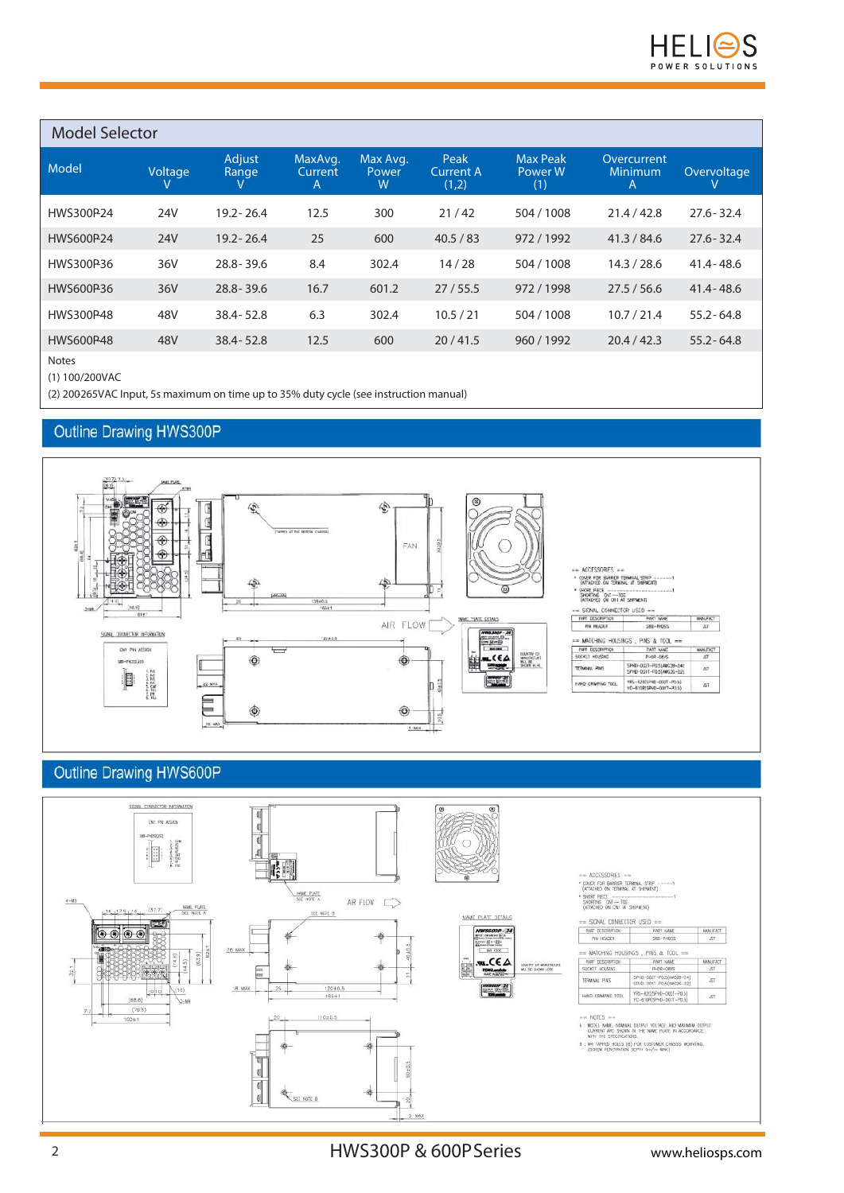

#### **Model Selector Model Voltage V Adjust Range V MaxAvg. Current A Max Avg. Power W Peak Current A (1,2) Max Peak Power W (1) Overcurrent Minimum A Overvoltage V** HWS300P-24 24V 19.2- 26.4 12.5 300 21 / 42 504 / 1008 21.4 / 42.8 27.6- 32.4 HWS600P-24 24V 19.2- 26.4 25 600 40.5 / 83 972 / 1992 41.3 / 84.6 27.6- 32.4 HWS300P-36 36V 28.8- 39.6 8.4 302.4 14 / 28 504 / 1008 14.3 / 28.6 41.4- 48.6 HWS600P-36 36V 28.8- 39.6 16.7 601.2 27 / 55.5 972 / 1998 27.5 / 56.6 41.4- 48.6 HWS300P-48 48V 38.4- 52.8 6.3 302.4 10.5 / 21 504 / 1008 10.7 / 21.4 55.2- 64.8 HWS600P-48 48V 38.4- 52.8 12.5 600 20 / 41.5 960 / 1992 20.4 / 42.3 55.2- 64.8

**Notes**

(1) 100/200VAC

(2) 200-265VAC Input, 5s maximum on time up to 35% duty cycle (see instruction manual)

#### Outline Drawing HWS300P



## **Outline Drawing HWS600P**